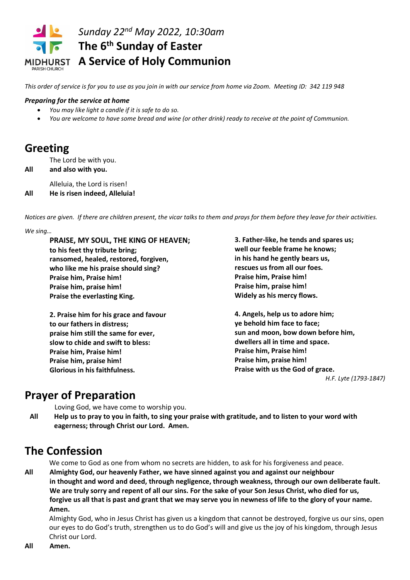

*This order of service is for you to use as you join in with our service from home via Zoom. Meeting ID: 342 119 948*

#### *Preparing for the service at home*

- *You may like light a candle if it is safe to do so.*
- *You are welcome to have some bread and wine (or other drink) ready to receive at the point of Communion.*

## **Greeting**

The Lord be with you.

**All and also with you.**

Alleluia, the Lord is risen!

**All He is risen indeed, Alleluia!**

*Notices are given. If there are children present, the vicar talks to them and prays for them before they leave for their activities.*

#### *We sing…*

**PRAISE, MY SOUL, THE KING OF HEAVEN; to his feet thy tribute bring; ransomed, healed, restored, forgiven, who like me his praise should sing? Praise him, Praise him! Praise him, praise him! Praise the everlasting King.**

**2. Praise him for his grace and favour to our fathers in distress; praise him still the same for ever, slow to chide and swift to bless: Praise him, Praise him! Praise him, praise him! Glorious in his faithfulness.**

**3. Father-like, he tends and spares us; well our feeble frame he knows; in his hand he gently bears us, rescues us from all our foes. Praise him, Praise him! Praise him, praise him! Widely as his mercy flows.**

**4. Angels, help us to adore him; ye behold him face to face; sun and moon, bow down before him, dwellers all in time and space. Praise him, Praise him! Praise him, praise him! Praise with us the God of grace.**

*H.F. Lyte (1793-1847)*

## **Prayer of Preparation**

Loving God, we have come to worship you.

**All Help us to pray to you in faith, to sing your praise with gratitude, and to listen to your word with eagerness; through Christ our Lord. Amen.**

# **The Confession**

We come to God as one from whom no secrets are hidden, to ask for his forgiveness and peace.

**All Almighty God, our heavenly Father, we have sinned against you and against our neighbour in thought and word and deed, through negligence, through weakness, through our own deliberate fault. We are truly sorry and repent of all our sins. For the sake of your Son Jesus Christ, who died for us, forgive us all that is past and grant that we may serve you in newness of life to the glory of your name. Amen.**

Almighty God, who in Jesus Christ has given us a kingdom that cannot be destroyed, forgive us our sins, open our eyes to do God's truth, strengthen us to do God's will and give us the joy of his kingdom, through Jesus Christ our Lord.

**All Amen.**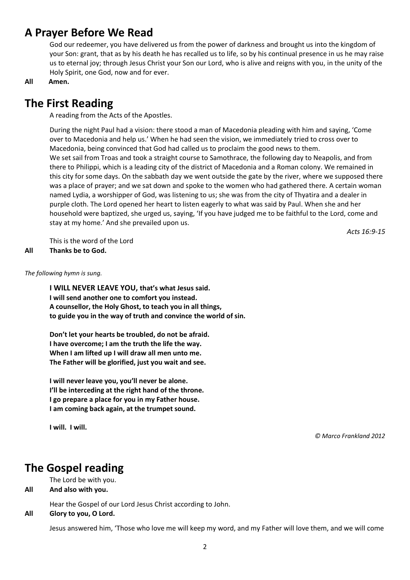## **A Prayer Before We Read**

God our redeemer, you have delivered us from the power of darkness and brought us into the kingdom of your Son: grant, that as by his death he has recalled us to life, so by his continual presence in us he may raise us to eternal joy; through Jesus Christ your Son our Lord, who is alive and reigns with you, in the unity of the Holy Spirit, one God, now and for ever.

**All Amen.**

## **The First Reading**

A reading from the Acts of the Apostles.

During the night Paul had a vision: there stood a man of Macedonia pleading with him and saying, 'Come over to Macedonia and help us.' When he had seen the vision, we immediately tried to cross over to Macedonia, being convinced that God had called us to proclaim the good news to them. We set sail from Troas and took a straight course to Samothrace, the following day to Neapolis, and from there to Philippi, which is a leading city of the district of Macedonia and a Roman colony. We remained in this city for some days. On the sabbath day we went outside the gate by the river, where we supposed there was a place of prayer; and we sat down and spoke to the women who had gathered there. A certain woman named Lydia, a worshipper of God, was listening to us; she was from the city of Thyatira and a dealer in purple cloth. The Lord opened her heart to listen eagerly to what was said by Paul. When she and her household were baptized, she urged us, saying, 'If you have judged me to be faithful to the Lord, come and stay at my home.' And she prevailed upon us.

*Acts 16:9-15*

This is the word of the Lord **All Thanks be to God.**

*The following hymn is sung.*

**I WILL NEVER LEAVE YOU, that's what Jesus said. I will send another one to comfort you instead. A counsellor, the Holy Ghost, to teach you in all things, to guide you in the way of truth and convince the world of sin.**

**Don't let your hearts be troubled, do not be afraid. I have overcome; I am the truth the life the way. When I am lifted up I will draw all men unto me. The Father will be glorified, just you wait and see.**

**I will never leave you, you'll never be alone. I'll be interceding at the right hand of the throne. I go prepare a place for you in my Father house. I am coming back again, at the trumpet sound.**

**I will. I will.**

*© Marco Frankland 2012*

## **The Gospel reading**

The Lord be with you.

**All And also with you.**

Hear the Gospel of our Lord Jesus Christ according to John.

**All Glory to you, O Lord.**

Jesus answered him, 'Those who love me will keep my word, and my Father will love them, and we will come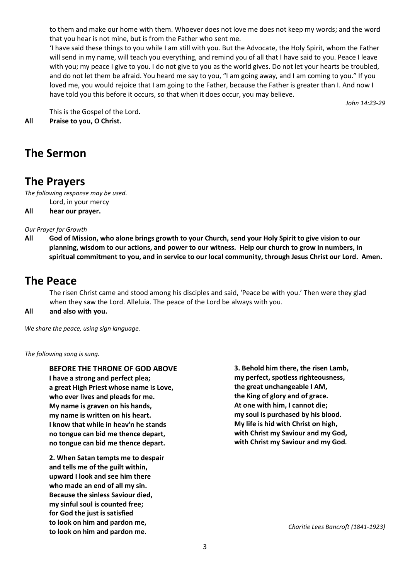to them and make our home with them. Whoever does not love me does not keep my words; and the word that you hear is not mine, but is from the Father who sent me.

'I have said these things to you while I am still with you. But the Advocate, the Holy Spirit, whom the Father will send in my name, will teach you everything, and remind you of all that I have said to you. Peace I leave with you; my peace I give to you. I do not give to you as the world gives. Do not let your hearts be troubled, and do not let them be afraid. You heard me say to you, "I am going away, and I am coming to you." If you loved me, you would rejoice that I am going to the Father, because the Father is greater than I. And now I have told you this before it occurs, so that when it does occur, you may believe.

*John 14:23-29*

This is the Gospel of the Lord. **All Praise to you, O Christ.**

# **The Sermon**

### **The Prayers**

*The following response may be used.*

- Lord, in your mercy
- **All hear our prayer.**

*Our Prayer for Growth*

**All God of Mission, who alone brings growth to your Church, send your Holy Spirit to give vision to our planning, wisdom to our actions, and power to our witness. Help our church to grow in numbers, in spiritual commitment to you, and in service to our local community, through Jesus Christ our Lord. Amen.**

## **The Peace**

The risen Christ came and stood among his disciples and said, 'Peace be with you.' Then were they glad when they saw the Lord. Alleluia. The peace of the Lord be always with you.

#### **All and also with you.**

*We share the peace, using sign language.*

*The following song is sung.*

**BEFORE THE THRONE OF GOD ABOVE I have a strong and perfect plea; a great High Priest whose name is Love, who ever lives and pleads for me. My name is graven on his hands, my name is written on his heart. I know that while in heav'n he stands no tongue can bid me thence depart, no tongue can bid me thence depart.**

**2. When Satan tempts me to despair and tells me of the guilt within, upward I look and see him there who made an end of all my sin. Because the sinless Saviour died, my sinful soul is counted free; for God the just is satisfied to look on him and pardon me, to look on him and pardon me.**

**3. Behold him there, the risen Lamb, my perfect, spotless righteousness, the great unchangeable I AM, the King of glory and of grace. At one with him, I cannot die; my soul is purchased by his blood. My life is hid with Christ on high, with Christ my Saviour and my God, with Christ my Saviour and my God***.*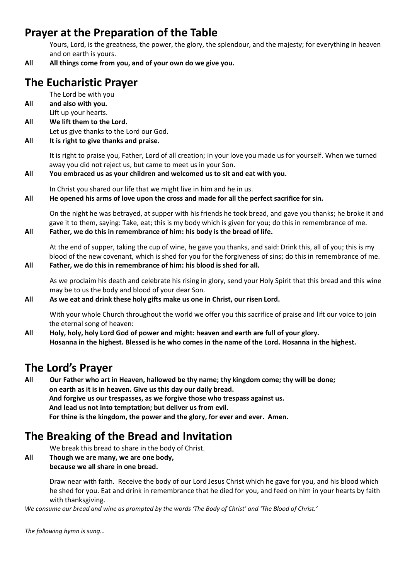# **Prayer at the Preparation of the Table**

Yours, Lord, is the greatness, the power, the glory, the splendour, and the majesty; for everything in heaven and on earth is yours.

**All All things come from you, and of your own do we give you.**

# **The Eucharistic Prayer**

The Lord be with you

**All and also with you.**

Lift up your hearts.

**All We lift them to the Lord.** Let us give thanks to the Lord our God.

#### **All It is right to give thanks and praise.**

It is right to praise you, Father, Lord of all creation; in your love you made us for yourself. When we turned away you did not reject us, but came to meet us in your Son.

#### **All You embraced us as your children and welcomed us to sit and eat with you.**

In Christ you shared our life that we might live in him and he in us.

#### **All He opened his arms of love upon the cross and made for all the perfect sacrifice for sin.**

On the night he was betrayed, at supper with his friends he took bread, and gave you thanks; he broke it and gave it to them, saying: Take, eat; this is my body which is given for you; do this in remembrance of me. **All Father, we do this in remembrance of him: his body is the bread of life.**

At the end of supper, taking the cup of wine, he gave you thanks, and said: Drink this, all of you; this is my blood of the new covenant, which is shed for you for the forgiveness of sins; do this in remembrance of me.

#### **All Father, we do this in remembrance of him: his blood is shed for all.**

As we proclaim his death and celebrate his rising in glory, send your Holy Spirit that this bread and this wine may be to us the body and blood of your dear Son.

#### **All As we eat and drink these holy gifts make us one in Christ, our risen Lord.**

With your whole Church throughout the world we offer you this sacrifice of praise and lift our voice to join the eternal song of heaven:

**All Holy, holy, holy Lord God of power and might: heaven and earth are full of your glory. Hosanna in the highest. Blessed is he who comes in the name of the Lord. Hosanna in the highest.**

### **The Lord's Prayer**

**All Our Father who art in Heaven, hallowed be thy name; thy kingdom come; thy will be done; on earth as it is in heaven. Give us this day our daily bread. And forgive us our trespasses, as we forgive those who trespass against us. And lead us not into temptation; but deliver us from evil. For thine is the kingdom, the power and the glory, for ever and ever. Amen.**

## **The Breaking of the Bread and Invitation**

We break this bread to share in the body of Christ.

**All Though we are many, we are one body, because we all share in one bread.**

> Draw near with faith. Receive the body of our Lord Jesus Christ which he gave for you, and his blood which he shed for you. Eat and drink in remembrance that he died for you, and feed on him in your hearts by faith with thanksgiving.

*We consume our bread and wine as prompted by the words 'The Body of Christ' and 'The Blood of Christ.'*

*The following hymn is sung…*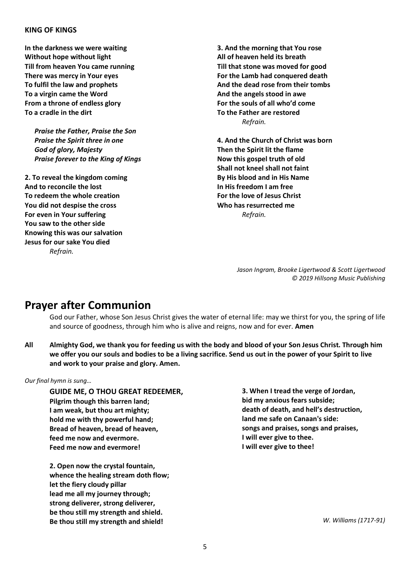#### **KING OF KINGS**

**In the darkness we were waiting Without hope without light Till from heaven You came running There was mercy in Your eyes To fulfil the law and prophets To a virgin came the Word From a throne of endless glory To a cradle in the dirt**

*Praise the Father, Praise the Son Praise the Spirit three in one God of glory, Majesty Praise forever to the King of Kings*

**2. To reveal the kingdom coming And to reconcile the lost To redeem the whole creation You did not despise the cross For even in Your suffering You saw to the other side Knowing this was our salvation Jesus for our sake You died** *Refrain.*

**3. And the morning that You rose All of heaven held its breath Till that stone was moved for good For the Lamb had conquered death And the dead rose from their tombs And the angels stood in awe For the souls of all who'd come To the Father are restored** *Refrain.*

**4. And the Church of Christ was born Then the Spirit lit the flame Now this gospel truth of old Shall not kneel shall not faint By His blood and in His Name In His freedom I am free For the love of Jesus Christ Who has resurrected me** *Refrain.*

> *Jason Ingram, Brooke Ligertwood & Scott Ligertwood © 2019 Hillsong Music Publishing*

### **Prayer after Communion**

God our Father, whose Son Jesus Christ gives the water of eternal life: may we thirst for you, the spring of life and source of goodness, through him who is alive and reigns, now and for ever. **Amen**

**All Almighty God, we thank you for feeding us with the body and blood of your Son Jesus Christ. Through him we offer you our souls and bodies to be a living sacrifice. Send us out in the power of your Spirit to live and work to your praise and glory. Amen.**

*Our final hymn is sung…*

**GUIDE ME, O THOU GREAT REDEEMER, Pilgrim though this barren land; I am weak, but thou art mighty; hold me with thy powerful hand; Bread of heaven, bread of heaven, feed me now and evermore. Feed me now and evermore!**

**2. Open now the crystal fountain, whence the healing stream doth flow; let the fiery cloudy pillar lead me all my journey through; strong deliverer, strong deliverer, be thou still my strength and shield. Be thou still my strength and shield!**

**3. When I tread the verge of Jordan, bid my anxious fears subside; death of death, and hell's destruction, land me safe on Canaan's side: songs and praises, songs and praises, I will ever give to thee. I will ever give to thee!** 

*W. Williams (1717-91)*